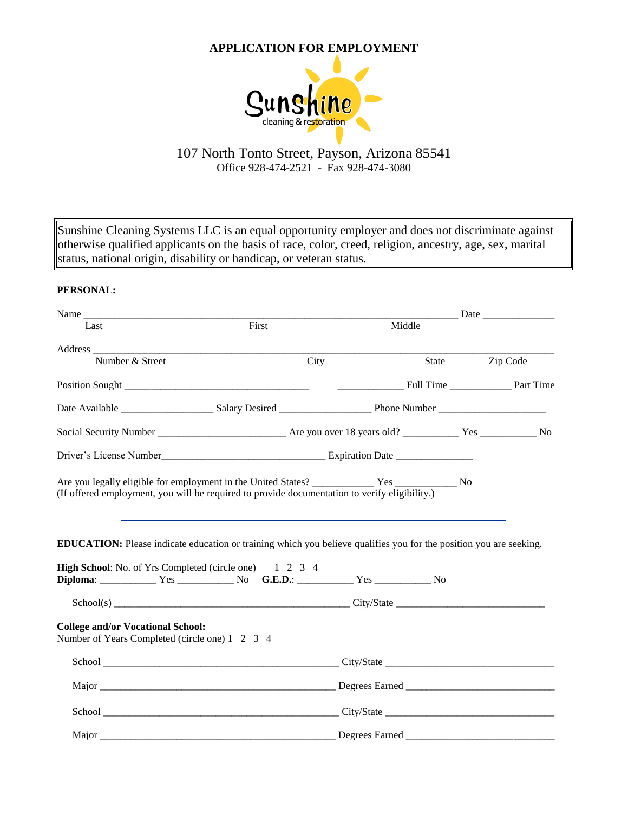# **APPLICATION FOR EMPLOYMENT**



# 107 North Tonto Street, Payson, Arizona 85541 Office 928-474-2521 - Fax 928-474-3080

Sunshine Cleaning Systems LLC is an equal opportunity employer and does not discriminate against otherwise qualified applicants on the basis of race, color, creed, religion, ancestry, age, sex, marital status, national origin, disability or handicap, or veteran status.

| PERSONAL:                                                                                                                 |       |      |        |                       |          |
|---------------------------------------------------------------------------------------------------------------------------|-------|------|--------|-----------------------|----------|
|                                                                                                                           |       |      |        | <u>Date</u> Date 2008 |          |
| Last                                                                                                                      | First |      | Middle |                       |          |
|                                                                                                                           |       |      |        |                       |          |
| Number & Street                                                                                                           |       | City | State  |                       | Zip Code |
|                                                                                                                           |       |      |        |                       |          |
|                                                                                                                           |       |      |        |                       |          |
|                                                                                                                           |       |      |        |                       |          |
|                                                                                                                           |       |      |        |                       |          |
| (If offered employment, you will be required to provide documentation to verify eligibility.)                             |       |      |        |                       |          |
| <b>EDUCATION:</b> Please indicate education or training which you believe qualifies you for the position you are seeking. |       |      |        |                       |          |
| <b>High School:</b> No. of Yrs Completed (circle one) 1 2 3 4                                                             |       |      |        |                       |          |
|                                                                                                                           |       |      |        |                       |          |
| <b>College and/or Vocational School:</b><br>Number of Years Completed (circle one) 1 2 3 4                                |       |      |        |                       |          |
|                                                                                                                           |       |      |        |                       |          |
|                                                                                                                           |       |      |        |                       |          |
|                                                                                                                           |       |      |        |                       |          |
|                                                                                                                           |       |      |        |                       |          |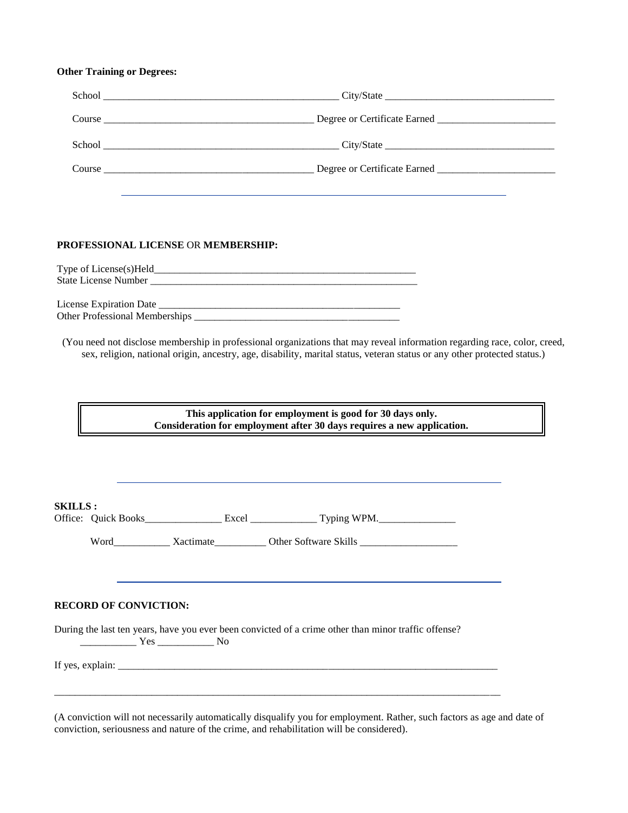### **Other Training or Degrees:**

| PROFESSIONAL LICENSE OR MEMBERSHIP: |  |
|-------------------------------------|--|
|                                     |  |
|                                     |  |
|                                     |  |

Other Professional Memberships \_\_\_\_\_\_\_\_\_\_\_\_\_\_\_\_\_\_\_\_\_\_\_\_\_\_\_\_\_\_\_\_\_\_\_\_\_\_\_\_

(You need not disclose membership in professional organizations that may reveal information regarding race, color, creed, sex, religion, national origin, ancestry, age, disability, marital status, veteran status or any other protected status.)

> **This application for employment is good for 30 days only. Consideration for employment after 30 days requires a new application.**

| <b>SKILLS:</b>                                                                                                   |  |  |  |  |  |  |
|------------------------------------------------------------------------------------------------------------------|--|--|--|--|--|--|
|                                                                                                                  |  |  |  |  |  |  |
|                                                                                                                  |  |  |  |  |  |  |
|                                                                                                                  |  |  |  |  |  |  |
| <b>RECORD OF CONVICTION:</b>                                                                                     |  |  |  |  |  |  |
| During the last ten years, have you ever been convicted of a crime other than minor traffic offense?<br>$Yes$ No |  |  |  |  |  |  |
|                                                                                                                  |  |  |  |  |  |  |
|                                                                                                                  |  |  |  |  |  |  |

(A conviction will not necessarily automatically disqualify you for employment. Rather, such factors as age and date of conviction, seriousness and nature of the crime, and rehabilitation will be considered).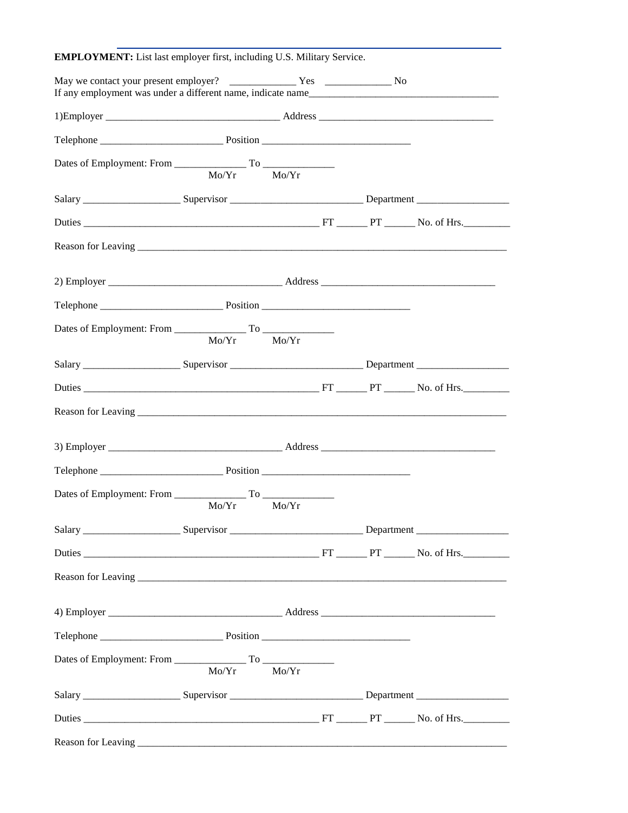| <b>EMPLOYMENT:</b> List last employer first, including U.S. Military Service.                                                                                                                                                        |                 |  |  |
|--------------------------------------------------------------------------------------------------------------------------------------------------------------------------------------------------------------------------------------|-----------------|--|--|
|                                                                                                                                                                                                                                      |                 |  |  |
|                                                                                                                                                                                                                                      |                 |  |  |
|                                                                                                                                                                                                                                      |                 |  |  |
|                                                                                                                                                                                                                                      | $Mo/Yr$ $Mo/Yr$ |  |  |
| Salary ________________________Supervisor _________________________________Department ________________________                                                                                                                       |                 |  |  |
| Duties PT PT No. of Hrs.                                                                                                                                                                                                             |                 |  |  |
|                                                                                                                                                                                                                                      |                 |  |  |
|                                                                                                                                                                                                                                      |                 |  |  |
|                                                                                                                                                                                                                                      |                 |  |  |
|                                                                                                                                                                                                                                      | Mo/Yr Mo/Yr     |  |  |
|                                                                                                                                                                                                                                      |                 |  |  |
|                                                                                                                                                                                                                                      |                 |  |  |
| Reason for Leaving <u>contained a set of the set of the set of the set of the set of the set of the set of the set of the set of the set of the set of the set of the set of the set of the set of the set of the set of the set</u> |                 |  |  |
|                                                                                                                                                                                                                                      |                 |  |  |
|                                                                                                                                                                                                                                      |                 |  |  |
|                                                                                                                                                                                                                                      | $Mo/Yr$ $Mo/Yr$ |  |  |
| Salary ________________________Supervisor ________________________________Department _________________________                                                                                                                       |                 |  |  |
|                                                                                                                                                                                                                                      |                 |  |  |
| Reason for Leaving <u>contact the contract of the contract of the contract of the contract of the contract of the contract of the contract of the contract of the contract of the contract of the contract of the contract of th</u> |                 |  |  |
|                                                                                                                                                                                                                                      |                 |  |  |
|                                                                                                                                                                                                                                      |                 |  |  |
|                                                                                                                                                                                                                                      | Mo/Yr Mo/Yr     |  |  |
| Salary ________________________Supervisor ________________________________Department _________________________                                                                                                                       |                 |  |  |
|                                                                                                                                                                                                                                      |                 |  |  |
|                                                                                                                                                                                                                                      |                 |  |  |